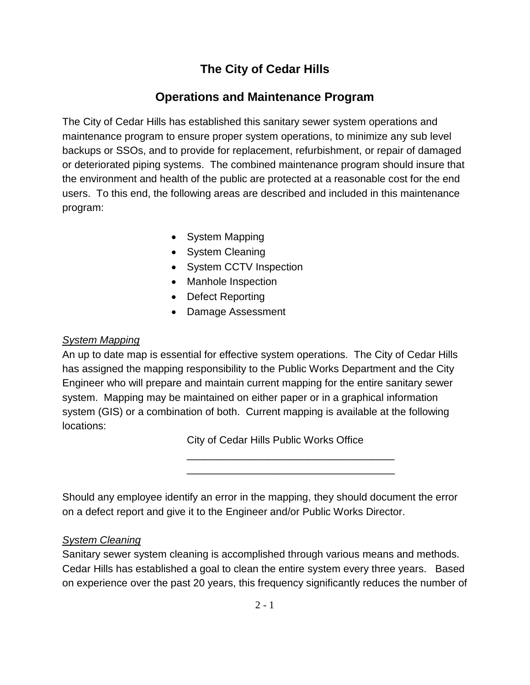# **The City of Cedar Hills**

# **Operations and Maintenance Program**

The City of Cedar Hills has established this sanitary sewer system operations and maintenance program to ensure proper system operations, to minimize any sub level backups or SSOs, and to provide for replacement, refurbishment, or repair of damaged or deteriorated piping systems. The combined maintenance program should insure that the environment and health of the public are protected at a reasonable cost for the end users. To this end, the following areas are described and included in this maintenance program:

- System Mapping
- System Cleaning
- System CCTV Inspection
- Manhole Inspection
- Defect Reporting
- Damage Assessment

# *System Mapping*

An up to date map is essential for effective system operations. The City of Cedar Hills has assigned the mapping responsibility to the Public Works Department and the City Engineer who will prepare and maintain current mapping for the entire sanitary sewer system. Mapping may be maintained on either paper or in a graphical information system (GIS) or a combination of both. Current mapping is available at the following locations:

City of Cedar Hills Public Works Office

\_\_\_\_\_\_\_\_\_\_\_\_\_\_\_\_\_\_\_\_\_\_\_\_\_\_\_\_\_\_\_\_\_\_\_\_ \_\_\_\_\_\_\_\_\_\_\_\_\_\_\_\_\_\_\_\_\_\_\_\_\_\_\_\_\_\_\_\_\_\_\_\_

Should any employee identify an error in the mapping, they should document the error on a defect report and give it to the Engineer and/or Public Works Director.

# *System Cleaning*

Sanitary sewer system cleaning is accomplished through various means and methods. Cedar Hills has established a goal to clean the entire system every three years. Based on experience over the past 20 years, this frequency significantly reduces the number of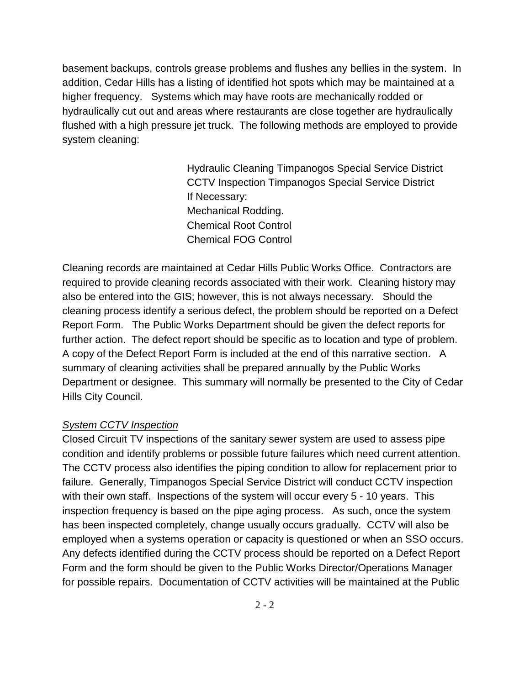basement backups, controls grease problems and flushes any bellies in the system. In addition, Cedar Hills has a listing of identified hot spots which may be maintained at a higher frequency. Systems which may have roots are mechanically rodded or hydraulically cut out and areas where restaurants are close together are hydraulically flushed with a high pressure jet truck. The following methods are employed to provide system cleaning:

> Hydraulic Cleaning Timpanogos Special Service District CCTV Inspection Timpanogos Special Service District If Necessary: Mechanical Rodding. Chemical Root Control Chemical FOG Control

Cleaning records are maintained at Cedar Hills Public Works Office. Contractors are required to provide cleaning records associated with their work. Cleaning history may also be entered into the GIS; however, this is not always necessary. Should the cleaning process identify a serious defect, the problem should be reported on a Defect Report Form. The Public Works Department should be given the defect reports for further action. The defect report should be specific as to location and type of problem. A copy of the Defect Report Form is included at the end of this narrative section. A summary of cleaning activities shall be prepared annually by the Public Works Department or designee. This summary will normally be presented to the City of Cedar Hills City Council.

## *System CCTV Inspection*

Closed Circuit TV inspections of the sanitary sewer system are used to assess pipe condition and identify problems or possible future failures which need current attention. The CCTV process also identifies the piping condition to allow for replacement prior to failure. Generally, Timpanogos Special Service District will conduct CCTV inspection with their own staff. Inspections of the system will occur every 5 - 10 years. This inspection frequency is based on the pipe aging process. As such, once the system has been inspected completely, change usually occurs gradually. CCTV will also be employed when a systems operation or capacity is questioned or when an SSO occurs. Any defects identified during the CCTV process should be reported on a Defect Report Form and the form should be given to the Public Works Director/Operations Manager for possible repairs. Documentation of CCTV activities will be maintained at the Public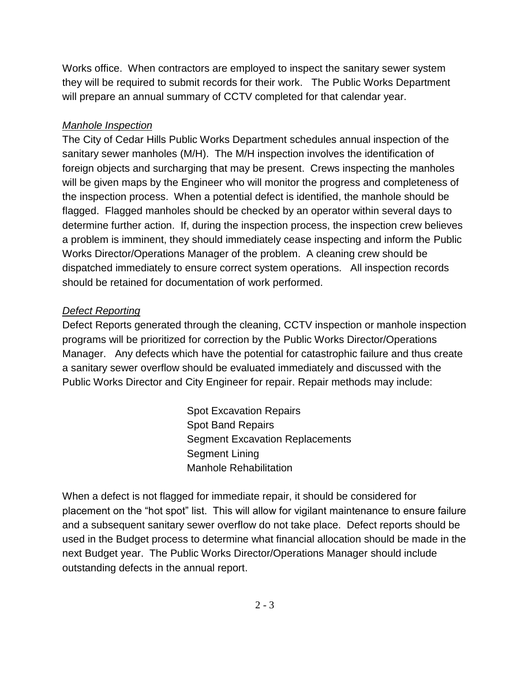Works office. When contractors are employed to inspect the sanitary sewer system they will be required to submit records for their work. The Public Works Department will prepare an annual summary of CCTV completed for that calendar year.

# *Manhole Inspection*

The City of Cedar Hills Public Works Department schedules annual inspection of the sanitary sewer manholes (M/H). The M/H inspection involves the identification of foreign objects and surcharging that may be present. Crews inspecting the manholes will be given maps by the Engineer who will monitor the progress and completeness of the inspection process. When a potential defect is identified, the manhole should be flagged. Flagged manholes should be checked by an operator within several days to determine further action. If, during the inspection process, the inspection crew believes a problem is imminent, they should immediately cease inspecting and inform the Public Works Director/Operations Manager of the problem. A cleaning crew should be dispatched immediately to ensure correct system operations. All inspection records should be retained for documentation of work performed.

# *Defect Reporting*

Defect Reports generated through the cleaning, CCTV inspection or manhole inspection programs will be prioritized for correction by the Public Works Director/Operations Manager. Any defects which have the potential for catastrophic failure and thus create a sanitary sewer overflow should be evaluated immediately and discussed with the Public Works Director and City Engineer for repair. Repair methods may include:

> Spot Excavation Repairs Spot Band Repairs Segment Excavation Replacements Segment Lining Manhole Rehabilitation

When a defect is not flagged for immediate repair, it should be considered for placement on the "hot spot" list. This will allow for vigilant maintenance to ensure failure and a subsequent sanitary sewer overflow do not take place. Defect reports should be used in the Budget process to determine what financial allocation should be made in the next Budget year. The Public Works Director/Operations Manager should include outstanding defects in the annual report.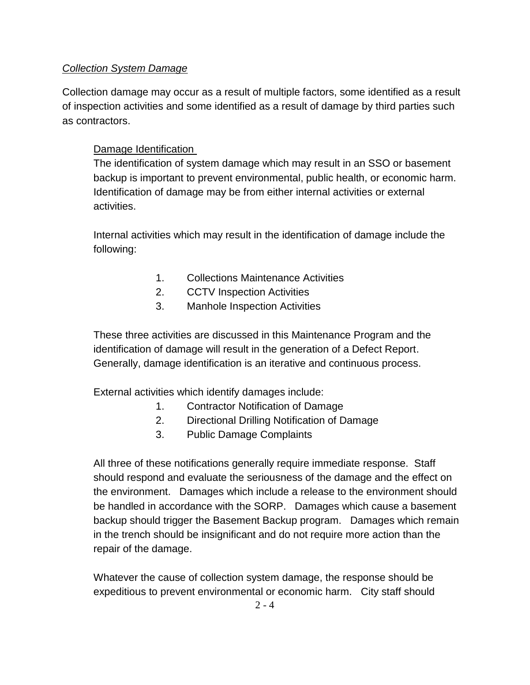## *Collection System Damage*

Collection damage may occur as a result of multiple factors, some identified as a result of inspection activities and some identified as a result of damage by third parties such as contractors.

## Damage Identification

The identification of system damage which may result in an SSO or basement backup is important to prevent environmental, public health, or economic harm. Identification of damage may be from either internal activities or external activities.

Internal activities which may result in the identification of damage include the following:

- 1. Collections Maintenance Activities
- 2. CCTV Inspection Activities
- 3. Manhole Inspection Activities

These three activities are discussed in this Maintenance Program and the identification of damage will result in the generation of a Defect Report. Generally, damage identification is an iterative and continuous process.

External activities which identify damages include:

- 1. Contractor Notification of Damage
- 2. Directional Drilling Notification of Damage
- 3. Public Damage Complaints

All three of these notifications generally require immediate response. Staff should respond and evaluate the seriousness of the damage and the effect on the environment. Damages which include a release to the environment should be handled in accordance with the SORP. Damages which cause a basement backup should trigger the Basement Backup program. Damages which remain in the trench should be insignificant and do not require more action than the repair of the damage.

Whatever the cause of collection system damage, the response should be expeditious to prevent environmental or economic harm. City staff should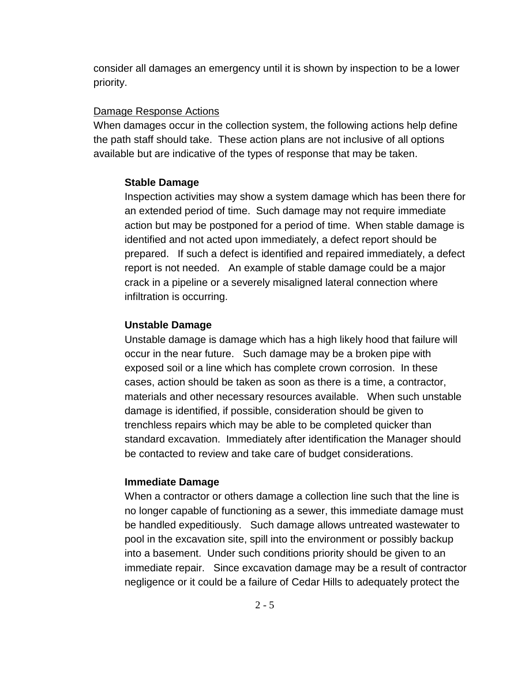consider all damages an emergency until it is shown by inspection to be a lower priority.

#### Damage Response Actions

When damages occur in the collection system, the following actions help define the path staff should take. These action plans are not inclusive of all options available but are indicative of the types of response that may be taken.

#### **Stable Damage**

Inspection activities may show a system damage which has been there for an extended period of time. Such damage may not require immediate action but may be postponed for a period of time. When stable damage is identified and not acted upon immediately, a defect report should be prepared. If such a defect is identified and repaired immediately, a defect report is not needed. An example of stable damage could be a major crack in a pipeline or a severely misaligned lateral connection where infiltration is occurring.

### **Unstable Damage**

Unstable damage is damage which has a high likely hood that failure will occur in the near future. Such damage may be a broken pipe with exposed soil or a line which has complete crown corrosion. In these cases, action should be taken as soon as there is a time, a contractor, materials and other necessary resources available. When such unstable damage is identified, if possible, consideration should be given to trenchless repairs which may be able to be completed quicker than standard excavation. Immediately after identification the Manager should be contacted to review and take care of budget considerations.

### **Immediate Damage**

When a contractor or others damage a collection line such that the line is no longer capable of functioning as a sewer, this immediate damage must be handled expeditiously. Such damage allows untreated wastewater to pool in the excavation site, spill into the environment or possibly backup into a basement. Under such conditions priority should be given to an immediate repair. Since excavation damage may be a result of contractor negligence or it could be a failure of Cedar Hills to adequately protect the